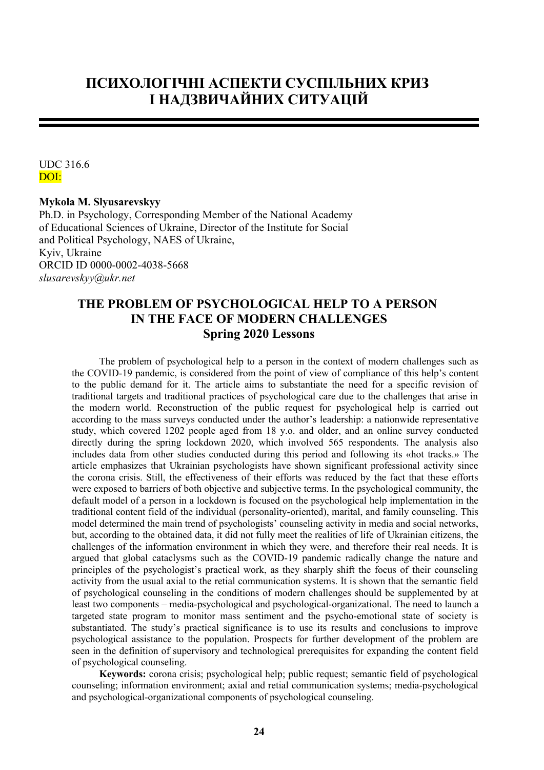# **ПСИХОЛОГІЧНІ АСПЕКТИ СУСПІЛЬНИХ КРИЗ І НАДЗВИЧАЙНИХ СИТУАЦІЙ**

UDC 316.6 DOI:

## **Mykola M. Slyusarevskyy**

Ph.D. in Psychology, Corresponding Member of the National Academy of Educational Sciences of Ukraine, Director of the Institute for Social and Political Psychology, NAES of Ukraine, Kyiv, Ukraine ORCID ID 0000-0002-4038-5668 *slusarevskyy@ukr.net*

## **THE PROBLEM OF PSYCHOLOGICAL HELP TO A PERSON IN THE FACE OF MODERN CHALLENGES Spring 2020 Lessons**

The problem of psychological help to a person in the context of modern challenges such as the COVID-19 pandemic, is considered from the point of view of compliance of this help's content to the public demand for it. The article aims to substantiate the need for a specific revision of traditional targets and traditional practices of psychological care due to the challenges that arise in the modern world. Reconstruction of the public request for psychological help is carried out according to the mass surveys conducted under the author's leadership: a nationwide representative study, which covered 1202 people aged from 18 y.o. and older, and an online survey conducted directly during the spring lockdown 2020, which involved 565 respondents. The analysis also includes data from other studies conducted during this period and following its «hot tracks.» The article emphasizes that Ukrainian psychologists have shown significant professional activity since the corona crisis. Still, the effectiveness of their efforts was reduced by the fact that these efforts were exposed to barriers of both objective and subjective terms. In the psychological community, the default model of a person in a lockdown is focused on the psychological help implementation in the traditional content field of the individual (personality-oriented), marital, and family counseling. This model determined the main trend of psychologists' counseling activity in media and social networks, but, according to the obtained data, it did not fully meet the realities of life of Ukrainian citizens, the challenges of the information environment in which they were, and therefore their real needs. It is argued that global cataclysms such as the COVID-19 pandemic radically change the nature and principles of the psychologist's practical work, as they sharply shift the focus of their counseling activity from the usual axial to the retial communication systems. It is shown that the semantic field of psychological counseling in the conditions of modern challenges should be supplemented by at least two components – media-psychological and psychological-organizational. The need to launch a targeted state program to monitor mass sentiment and the psycho-emotional state of society is substantiated. The study's practical significance is to use its results and conclusions to improve psychological assistance to the population. Prospects for further development of the problem are seen in the definition of supervisory and technological prerequisites for expanding the content field of psychological counseling.

**Keywords:** corona crisis; psychological help; public request; semantic field of psychological counseling; information environment; axial and retial communication systems; media-psychological and psychological-organizational components of psychological counseling.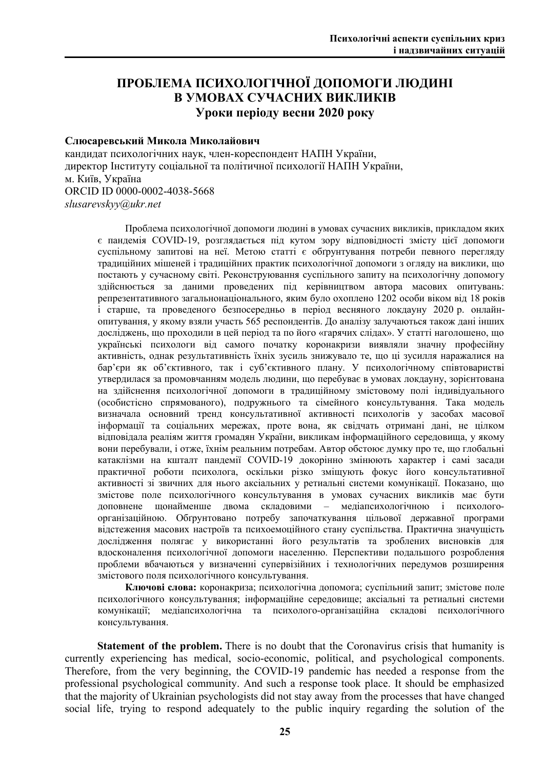## **ПРОБЛЕМА ПСИХОЛОГІЧНОЇ ДОПОМОГИ ЛЮДИНІ В УМОВАХ СУЧАСНИХ ВИКЛИКІВ Уроки періоду весни 2020 року**

## **Слюсаревський Микола Миколайович**

кандидат психологічних наук, член-кореспондент НАПН України, директор Інституту соціальної та політичної психології НАПН України, м. Київ, Україна ORCID ID 0000-0002-4038-5668 *slusarevskyy@ukr.net*

Проблема психологічної допомоги людині в умовах сучасних викликів, прикладом яких є пандемія COVID-19, розглядається під кутом зору відповідності змісту цієї допомоги суспільному запитові на неї. Метою статті є обґрунтування потреби певного перегляду традиційних мішеней і традиційних практик психологічної допомоги з огляду на виклики, що постають у сучасному світі. Реконструювання суспільного запиту на психологічну допомогу здійснюється за даними проведених під керівництвом автора масових опитувань: репрезентативного загальнонаціонального, яким було охоплено 1202 особи віком від 18 років і старше, та проведеного безпосередньо в період весняного локдауну 2020 р. онлайнопитування, у якому взяли участь 565 респондентів. До аналізу залучаються також дані інших досліджень, що проходили в цей період та по його «гарячих слідах». У статті наголошено, що українські психологи від самого початку коронакризи виявляли значну професійну активність, однак результативність їхніх зусиль знижувало те, що ці зусилля наражалися на бар'єри як об'єктивного, так і суб'єктивного плану. У психологічному співтоваристві утвердилася за промовчанням модель людини, що перебуває в умовах локдауну, зорієнтована на здійснення психологічної допомоги в традиційному змістовому полі індивідуального (особистісно спрямованого), подружнього та сімейного консультування. Така модель визначала основний тренд консультативної активності психологів у засобах масової інформації та соціальних мережах, проте вона, як свідчать отримані дані, не цілком відповідала реаліям життя громадян України, викликам інформаційного середовища, у якому вони перебували, і отже, їхнім реальним потребам. Автор обстоює думку про те, що глобальні катаклізми на кшталт пандемії COVID-19 докорінно змінюють характер і самі засади практичної роботи психолога, оскільки різко зміщують фокус його консультативної активності зі звичних для нього аксіальних у ретиальні системи комунікації. Показано, що змістове поле психологічного консультування в умовах сучасних викликів має бути доповнене щонайменше двома складовими – медіапсихологічною і психологоорганізаційною. Обґрунтовано потребу започаткування цільової державної програми відстеження масових настроїв та психоемоційного стану суспільства. Практична значущість дослідження полягає у використанні його результатів та зроблених висновків для вдосконалення психологічної допомоги населенню. Перспективи подальшого розроблення проблеми вбачаються у визначенні супервізійних і технологічних передумов розширення змістового поля психологічного консультування.

**Ключові слова:** коронакриза; психологічна допомога; суспільний запит; змістове поле психологічного консультування; інформаційне середовище; аксіальні та ретиальні системи комунікації; медіапсихологічна та психолого-організаційна складові психологічного консультування.

**Statement of the problem.** There is no doubt that the Coronavirus crisis that humanity is currently experiencing has medical, socio-economic, political, and psychological components. Therefore, from the very beginning, the COVID-19 pandemic has needed a response from the professional psychological community. And such a response took place. It should be emphasized that the majority of Ukrainian psychologists did not stay away from the processes that have changed social life, trying to respond adequately to the public inquiry regarding the solution of the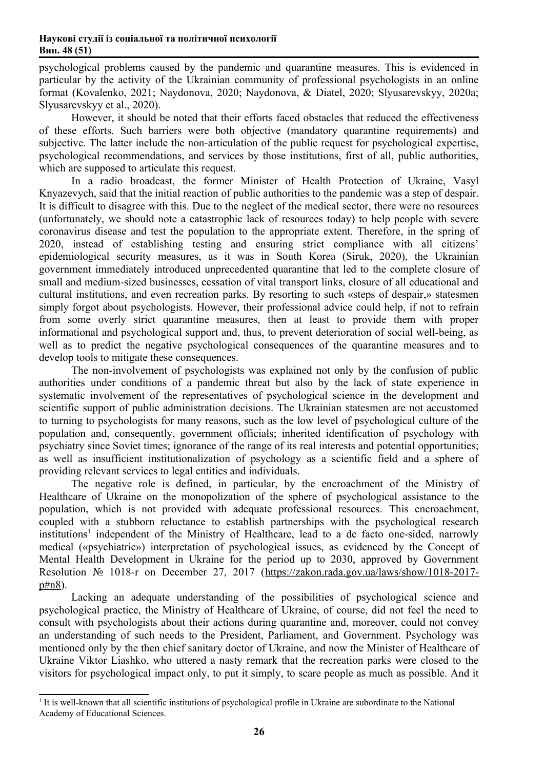psychological problems caused by the pandemic and quarantine measures. This is evidenced in particular by the activity of the Ukrainian community of professional psychologists in an online format (Kovalenko, 2021; Naydonova, 2020; Naydonova, & Diatel, 2020; Slyusarevskyy, 2020а; Slyusarevskyy et al., 2020).

However, it should be noted that their efforts faced obstacles that reduced the effectiveness of these efforts. Such barriers were both objective (mandatory quarantine requirements) and subjective. The latter include the non-articulation of the public request for psychological expertise, psychological recommendations, and services by those institutions, first of all, public authorities, which are supposed to articulate this request.

In a radio broadcast, the former Minister of Health Protection of Ukraine, Vasyl Knyazevych, said that the initial reaction of public authorities to the pandemic was a step of despair. It is difficult to disagree with this. Due to the neglect of the medical sector, there were no resources (unfortunately, we should note a catastrophic lack of resources today) to help people with severe coronavirus disease and test the population to the appropriate extent. Therefore, in the spring of 2020, instead of establishing testing and ensuring strict compliance with all citizens' epidemiological security measures, as it was in South Korea (Siruk, 2020), the Ukrainian government immediately introduced unprecedented quarantine that led to the complete closure of small and medium-sized businesses, cessation of vital transport links, closure of all educational and cultural institutions, and even recreation parks. By resorting to such «steps of despair,» statesmen simply forgot about psychologists. However, their professional advice could help, if not to refrain from some overly strict quarantine measures, then at least to provide them with proper informational and psychological support and, thus, to prevent deterioration of social well-being, as well as to predict the negative psychological consequences of the quarantine measures and to develop tools to mitigate these consequences.

The non-involvement of psychologists was explained not only by the confusion of public authorities under conditions of a pandemic threat but also by the lack of state experience in systematic involvement of the representatives of psychological science in the development and scientific support of public administration decisions. The Ukrainian statesmen are not accustomed to turning to psychologists for many reasons, such as the low level of psychological culture of the population and, consequently, government officials; inherited identification of psychology with psychiatry since Soviet times; ignorance of the range of its real interests and potential opportunities; as well as insufficient institutionalization of psychology as a scientific field and a sphere of providing relevant services to legal entities and individuals.

<span id="page-2-0"></span>The negative role is defined, in particular, by the encroachment of the Ministry of Healthcare of Ukraine on the monopolization of the sphere of psychological assistance to the population, which is not provided with adequate professional resources. This encroachment, coupled with a stubborn reluctance to establish partnerships with the psychological research institutions<sup>[1](#page-2-1)</sup> independent of the Ministry of Healthcare, lead to a de facto one-sided, narrowly medical («psychiatric») interpretation of psychological issues, as evidenced by the Concept of Mental Health Development in Ukraine for the period up to 2030, approved by Government Resolution № 1018-r on December 27, 2017([https://zakon.rada.gov.ua/laws/show/1018-2017](https://zakon.rada.gov.ua/laws/show/1018-2017-%D1%80#n8) [р#n8\)](https://zakon.rada.gov.ua/laws/show/1018-2017-%D1%80#n8).

Lacking an adequate understanding of the possibilities of psychological science and psychological practice, the Ministry of Healthcare of Ukraine, of course, did not feel the need to consult with psychologists about their actions during quarantine and, moreover, could not convey an understanding of such needs to the President, Parliament, and Government. Psychology was mentioned only by the then chief sanitary doctor of Ukraine, and now the Minister of Healthcare of Ukraine Viktor Liashko, who uttered a nasty remark that the recreation parks were closed to the visitors for psychological impact only, to put it simply, to scare people as much as possible. And it

<span id="page-2-1"></span><sup>1</sup> [It is well-known that all scientific institutions of psychological profile in Ukraine are subordinate to the National](#page-2-0)  Academy of Educational Sciences.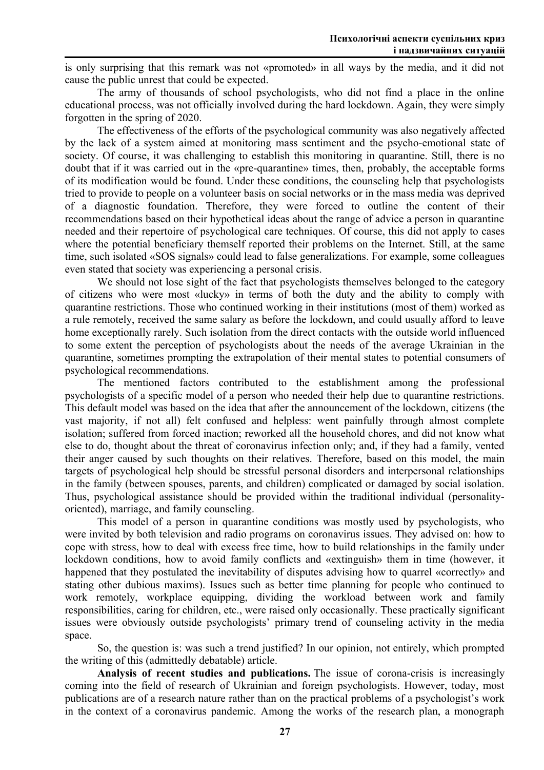is only surprising that this remark was not «promoted» in all ways by the media, and it did not cause the public unrest that could be expected.

The army of thousands of school psychologists, who did not find a place in the online educational process, was not officially involved during the hard lockdown. Again, they were simply forgotten in the spring of 2020.

The effectiveness of the efforts of the psychological community was also negatively affected by the lack of a system aimed at monitoring mass sentiment and the psycho-emotional state of society. Of course, it was challenging to establish this monitoring in quarantine. Still, there is no doubt that if it was carried out in the «pre-quarantine» times, then, probably, the acceptable forms of its modification would be found. Under these conditions, the counseling help that psychologists tried to provide to people on a volunteer basis on social networks or in the mass media was deprived of a diagnostic foundation. Therefore, they were forced to outline the content of their recommendations based on their hypothetical ideas about the range of advice a person in quarantine needed and their repertoire of psychological care techniques. Of course, this did not apply to cases where the potential beneficiary themself reported their problems on the Internet. Still, at the same time, such isolated «SOS signals» could lead to false generalizations. For example, some colleagues even stated that society was experiencing a personal crisis.

We should not lose sight of the fact that psychologists themselves belonged to the category of citizens who were most «lucky» in terms of both the duty and the ability to comply with quarantine restrictions. Those who continued working in their institutions (most of them) worked as a rule remotely, received the same salary as before the lockdown, and could usually afford to leave home exceptionally rarely. Such isolation from the direct contacts with the outside world influenced to some extent the perception of psychologists about the needs of the average Ukrainian in the quarantine, sometimes prompting the extrapolation of their mental states to potential consumers of psychological recommendations.

The mentioned factors contributed to the establishment among the professional psychologists of a specific model of a person who needed their help due to quarantine restrictions. This default model was based on the idea that after the announcement of the lockdown, citizens (the vast majority, if not all) felt confused and helpless: went painfully through almost complete isolation; suffered from forced inaction; reworked all the household chores, and did not know what else to do, thought about the threat of coronavirus infection only; and, if they had a family, vented their anger caused by such thoughts on their relatives. Therefore, based on this model, the main targets of psychological help should be stressful personal disorders and interpersonal relationships in the family (between spouses, parents, and children) complicated or damaged by social isolation. Thus, psychological assistance should be provided within the traditional individual (personalityoriented), marriage, and family counseling.

This model of a person in quarantine conditions was mostly used by psychologists, who were invited by both television and radio programs on coronavirus issues. They advised on: how to cope with stress, how to deal with excess free time, how to build relationships in the family under lockdown conditions, how to avoid family conflicts and «extinguish» them in time (however, it happened that they postulated the inevitability of disputes advising how to quarrel «correctly» and stating other dubious maxims). Issues such as better time planning for people who continued to work remotely, workplace equipping, dividing the workload between work and family responsibilities, caring for children, etc., were raised only occasionally. These practically significant issues were obviously outside psychologists' primary trend of counseling activity in the media space.

So, the question is: was such a trend justified? In our opinion, not entirely, which prompted the writing of this (admittedly debatable) article.

**Analysis of recent studies and publications.** The issue of corona-crisis is increasingly coming into the field of research of Ukrainian and foreign psychologists. However, today, most publications are of a research nature rather than on the practical problems of a psychologist's work in the context of a coronavirus pandemic. Among the works of the research plan, a monograph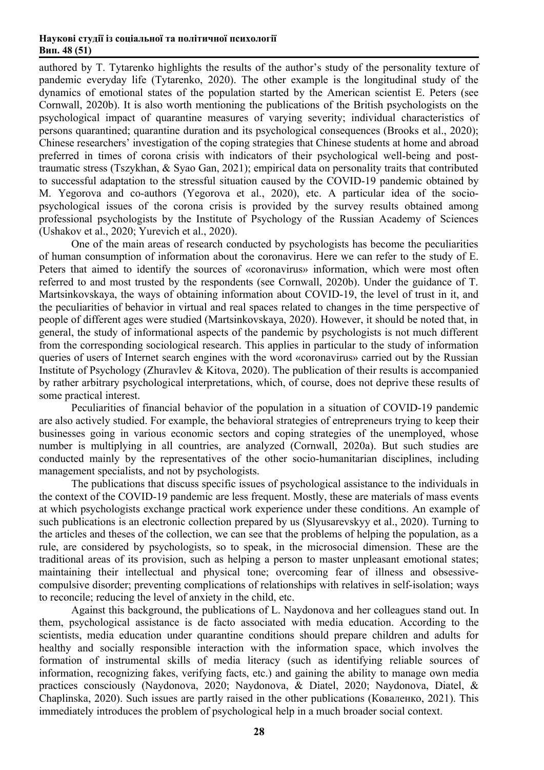authored by T. Tytarenko highlights the results of the author's study of the personality texture of pandemic everyday life (Tytarenko, 2020). The other example is the longitudinal study of the dynamics of emotional states of the population started by the American scientist E. Peters (see Cornwall, 2020b). It is also worth mentioning the publications of the British psychologists on the psychological impact of quarantine measures of varying severity; individual characteristics of persons quarantined; quarantine duration and its psychological consequences (Brooks et al., 2020); Chinese researchers' investigation of the coping strategies that Chinese students at home and abroad preferred in times of corona crisis with indicators of their psychological well-being and posttraumatic stress (Tszykhan, & Syao Gan, 2021); empirical data on personality traits that contributed to successful adaptation to the stressful situation caused by the COVID-19 pandemic obtained by M. Yegorova and co-authors (Yegorova et al., 2020), etc. A particular idea of the sociopsychological issues of the corona crisis is provided by the survey results obtained among professional psychologists by the Institute of Psychology of the Russian Academy of Sciences (Ushakov et al., 2020; Yurevich et al., 2020).

One of the main areas of research conducted by psychologists has become the peculiarities of human consumption of information about the coronavirus. Here we can refer to the study of E. Peters that aimed to identify the sources of «coronavirus» information, which were most often referred to and most trusted by the respondents (see Cornwall, 2020b). Under the guidance of T. Martsinkovskaya, the ways of obtaining information about COVID-19, the level of trust in it, and the peculiarities of behavior in virtual and real spaces related to changes in the time perspective of people of different ages were studied (Martsinkovskaya, 2020). However, it should be noted that, in general, the study of informational aspects of the pandemic by psychologists is not much different from the corresponding sociological research. This applies in particular to the study of information queries of users of Internet search engines with the word «coronavirus» carried out by the Russian Institute of Psychology (Zhuravlev & Kitova, 2020). The publication of their results is accompanied by rather arbitrary psychological interpretations, which, of course, does not deprive these results of some practical interest.

Peculiarities of financial behavior of the population in a situation of COVID-19 pandemic are also actively studied. For example, the behavioral strategies of entrepreneurs trying to keep their businesses going in various economic sectors and coping strategies of the unemployed, whose number is multiplying in all countries, are analyzed (Cornwall, 2020а). But such studies are conducted mainly by the representatives of the other socio-humanitarian disciplines, including management specialists, and not by psychologists.

The publications that discuss specific issues of psychological assistance to the individuals in the context of the COVID-19 pandemic are less frequent. Mostly, these are materials of mass events at which psychologists exchange practical work experience under these conditions. An example of such publications is an electronic collection prepared by us (Slyusarevskyy et al., 2020). Turning to the articles and theses of the collection, we can see that the problems of helping the population, as a rule, are considered by psychologists, so to speak, in the microsocial dimension. These are the traditional areas of its provision, such as helping a person to master unpleasant emotional states; maintaining their intellectual and physical tone; overcoming fear of illness and obsessivecompulsive disorder; preventing complications of relationships with relatives in self-isolation; ways to reconcile; reducing the level of anxiety in the child, etc.

Against this background, the publications of L. Naydonova and her colleagues stand out. In them, psychological assistance is de facto associated with media education. According to the scientists, media education under quarantine conditions should prepare children and adults for healthy and socially responsible interaction with the information space, which involves the formation of instrumental skills of media literacy (such as identifying reliable sources of information, recognizing fakes, verifying facts, etc.) and gaining the ability to manage own media practices consciously (Naydonova, 2020; Naydonova, & Diatel, 2020; Naydonova, Diatel, & Chaplinska, 2020). Such issues are partly raised in the other publications (Коваленко, 2021). This immediately introduces the problem of psychological help in a much broader social context.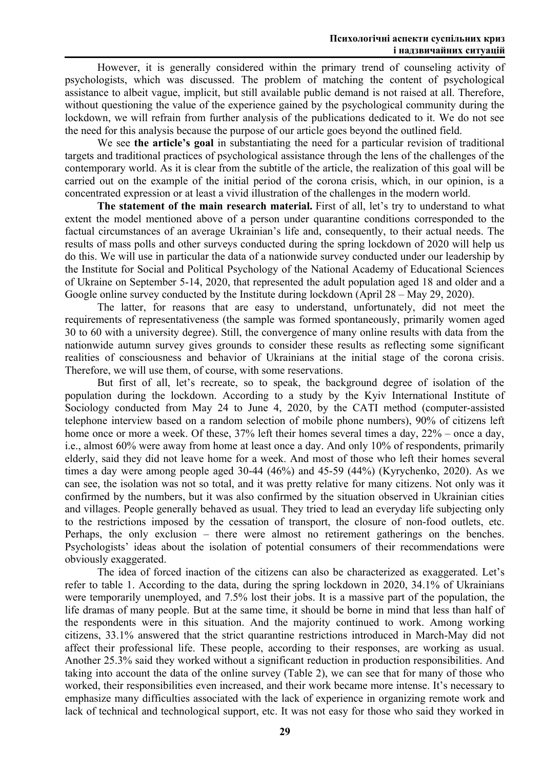However, it is generally considered within the primary trend of counseling activity of psychologists, which was discussed. The problem of matching the content of psychological assistance to albeit vague, implicit, but still available public demand is not raised at all. Therefore, without questioning the value of the experience gained by the psychological community during the lockdown, we will refrain from further analysis of the publications dedicated to it. We do not see the need for this analysis because the purpose of our article goes beyond the outlined field.

We see **the article's goal** in substantiating the need for a particular revision of traditional targets and traditional practices of psychological assistance through the lens of the challenges of the contemporary world. As it is clear from the subtitle of the article, the realization of this goal will be carried out on the example of the initial period of the corona crisis, which, in our opinion, is a concentrated expression or at least a vivid illustration of the challenges in the modern world.

**The statement of the main research material.** First of all, let's try to understand to what extent the model mentioned above of a person under quarantine conditions corresponded to the factual circumstances of an average Ukrainian's life and, consequently, to their actual needs. The results of mass polls and other surveys conducted during the spring lockdown of 2020 will help us do this. We will use in particular the data of a nationwide survey conducted under our leadership by the Institute for Social and Political Psychology of the National Academy of Educational Sciences of Ukraine on September 5-14, 2020, that represented the adult population aged 18 and older and a Google online survey conducted by the Institute during lockdown (April 28 – May 29, 2020).

The latter, for reasons that are easy to understand, unfortunately, did not meet the requirements of representativeness (the sample was formed spontaneously, primarily women aged 30 to 60 with a university degree). Still, the convergence of many online results with data from the nationwide autumn survey gives grounds to consider these results as reflecting some significant realities of consciousness and behavior of Ukrainians at the initial stage of the corona crisis. Therefore, we will use them, of course, with some reservations.

But first of all, let's recreate, so to speak, the background degree of isolation of the population during the lockdown. According to a study by the Kyiv International Institute of Sociology conducted from May 24 to June 4, 2020, by the CATI method (computer-assisted telephone interview based on a random selection of mobile phone numbers), 90% of citizens left home once or more a week. Of these, 37% left their homes several times a day, 22% – once a day, i.e., almost 60% were away from home at least once a day. And only 10% of respondents, primarily elderly, said they did not leave home for a week. And most of those who left their homes several times a day were among people aged 30-44 (46%) and 45-59 (44%) (Kyrychenko, 2020). As we can see, the isolation was not so total, and it was pretty relative for many citizens. Not only was it confirmed by the numbers, but it was also confirmed by the situation observed in Ukrainian cities and villages. People generally behaved as usual. They tried to lead an everyday life subjecting only to the restrictions imposed by the cessation of transport, the closure of non-food outlets, etc. Perhaps, the only exclusion – there were almost no retirement gatherings on the benches. Psychologists' ideas about the isolation of potential consumers of their recommendations were obviously exaggerated.

The idea of forced inaction of the citizens can also be characterized as exaggerated. Let's refer to table 1. According to the data, during the spring lockdown in 2020, 34.1% of Ukrainians were temporarily unemployed, and 7.5% lost their jobs. It is a massive part of the population, the life dramas of many people. But at the same time, it should be borne in mind that less than half of the respondents were in this situation. And the majority continued to work. Among working citizens, 33.1% answered that the strict quarantine restrictions introduced in March-May did not affect their professional life. These people, according to their responses, are working as usual. Another 25.3% said they worked without a significant reduction in production responsibilities. And taking into account the data of the online survey (Table 2), we can see that for many of those who worked, their responsibilities even increased, and their work became more intense. It's necessary to emphasize many difficulties associated with the lack of experience in organizing remote work and lack of technical and technological support, etc. It was not easy for those who said they worked in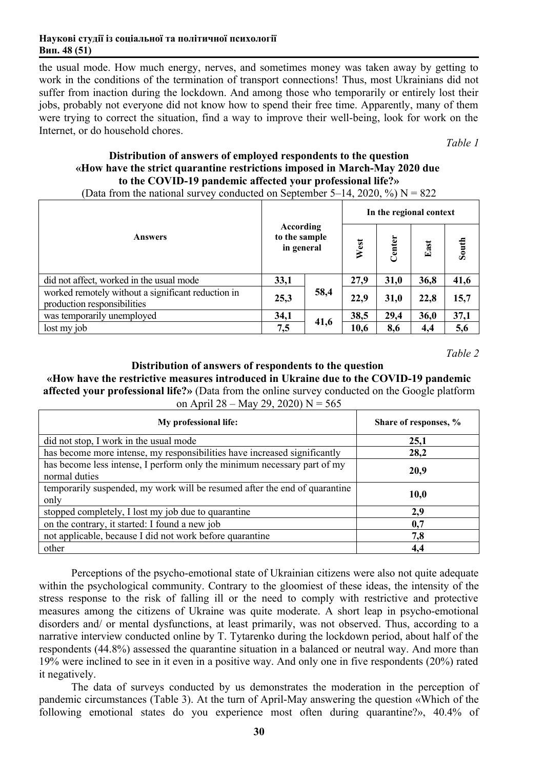the usual mode. How much energy, nerves, and sometimes money was taken away by getting to work in the conditions of the termination of transport connections! Thus, most Ukrainians did not suffer from inaction during the lockdown. And among those who temporarily or entirely lost their jobs, probably not everyone did not know how to spend their free time. Apparently, many of them were trying to correct the situation, find a way to improve their well-being, look for work on the Internet, or do household chores.

*Table 1*

## **Distribution of answers of employed respondents to the question «How have the strict quarantine restrictions imposed in March-May 2020 due to the COVID-19 pandemic affected your professional life?»**

|                                                                                   |                                          |      | In the regional context |        |      |       |
|-----------------------------------------------------------------------------------|------------------------------------------|------|-------------------------|--------|------|-------|
| <b>Answers</b>                                                                    | According<br>to the sample<br>in general |      | West                    | Center | East | South |
| did not affect, worked in the usual mode                                          | 33,1                                     |      | 27,9                    | 31,0   | 36,8 | 41,6  |
| worked remotely without a significant reduction in<br>production responsibilities | 25,3                                     | 58,4 | 22,9                    | 31,0   | 22,8 | 15,7  |
| was temporarily unemployed                                                        | 34,1                                     |      | 38,5                    | 29,4   | 36,0 | 37,1  |
| lost my job                                                                       | 7,5                                      | 41,6 | 10,6                    | 8,6    | 4,4  | 5,6   |

(Data from the national survey conducted on September 5–14, 2020, %)  $N = 822$ 

*Table 2*

## **Distribution of answers of respondents to the question**

**«How have the restrictive measures introduced in Ukraine due to the COVID-19 pandemic affected your professional life?»** (Data from the online survey conducted on the Google platform on April 28 – May 29, 2020) N =  $565$ 

| My professional life:                                                                     | Share of responses, % |
|-------------------------------------------------------------------------------------------|-----------------------|
| did not stop, I work in the usual mode                                                    | 25,1                  |
| has become more intense, my responsibilities have increased significantly                 | 28,2                  |
| has become less intense, I perform only the minimum necessary part of my<br>normal duties | 20,9                  |
| temporarily suspended, my work will be resumed after the end of quarantine<br>only        | 10,0                  |
| stopped completely, I lost my job due to quarantine                                       | 2,9                   |
| on the contrary, it started: I found a new job                                            | 0,7                   |
| not applicable, because I did not work before quarantine                                  | 7,8                   |
| other                                                                                     | 4,4                   |

Perceptions of the psycho-emotional state of Ukrainian citizens were also not quite adequate within the psychological community. Contrary to the gloomiest of these ideas, the intensity of the stress response to the risk of falling ill or the need to comply with restrictive and protective measures among the citizens of Ukraine was quite moderate. A short leap in psycho-emotional disorders and/ or mental dysfunctions, at least primarily, was not observed. Thus, according to a narrative interview conducted online by T. Tytarenko during the lockdown period, about half of the respondents (44.8%) assessed the quarantine situation in a balanced or neutral way. And more than 19% were inclined to see in it even in a positive way. And only one in five respondents (20%) rated it negatively.

The data of surveys conducted by us demonstrates the moderation in the perception of pandemic circumstances (Table 3). At the turn of April-May answering the question «Which of the following emotional states do you experience most often during quarantine?», 40.4% of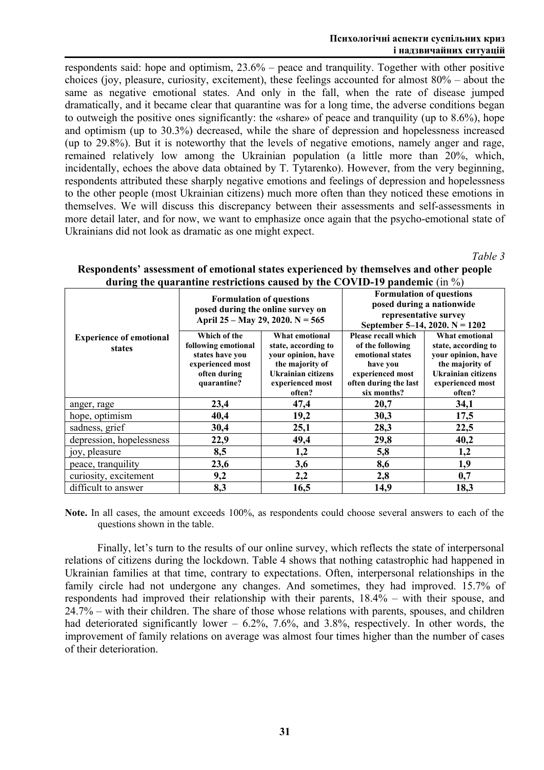#### **Психологічні аспекти суспільних криз і надзвичайних ситуацій**

respondents said: hope and optimism, 23.6% – peace and tranquility. Together with other positive choices (joy, pleasure, curiosity, excitement), these feelings accounted for almost 80% – about the same as negative emotional states. And only in the fall, when the rate of disease jumped dramatically, and it became clear that quarantine was for a long time, the adverse conditions began to outweigh the positive ones significantly: the «share» of peace and tranquility (up to 8.6%), hope and optimism (up to 30.3%) decreased, while the share of depression and hopelessness increased (up to 29.8%). But it is noteworthy that the levels of negative emotions, namely anger and rage, remained relatively low among the Ukrainian population (a little more than 20%, which, incidentally, echoes the above data obtained by T. Tytarenko). However, from the very beginning, respondents attributed these sharply negative emotions and feelings of depression and hopelessness to the other people (most Ukrainian citizens) much more often than they noticed these emotions in themselves. We will discuss this discrepancy between their assessments and self-assessments in more detail later, and for now, we want to emphasize once again that the psycho-emotional state of Ukrainians did not look as dramatic as one might expect.

*Table 3*

|                                          | <b>Formulation of questions</b><br>posed during the online survey on<br>April 25 – May 29, 2020. N = 565  |                                                                                                                                    | <b>Formulation of questions</b><br>representative survey                                                                            | posed during a nationwide<br>September 5–14, 2020. N = $1202$                                                                             |
|------------------------------------------|-----------------------------------------------------------------------------------------------------------|------------------------------------------------------------------------------------------------------------------------------------|-------------------------------------------------------------------------------------------------------------------------------------|-------------------------------------------------------------------------------------------------------------------------------------------|
| <b>Experience of emotional</b><br>states | Which of the<br>following emotional<br>states have you<br>experienced most<br>often during<br>quarantine? | What emotional<br>state, according to<br>your opinion, have<br>the majority of<br>Ukrainian citizens<br>experienced most<br>often? | Please recall which<br>of the following<br>emotional states<br>have you<br>experienced most<br>often during the last<br>six months? | What emotional<br>state, according to<br>your opinion, have<br>the majority of<br><b>Ukrainian citizens</b><br>experienced most<br>often? |
| anger, rage                              | 23,4                                                                                                      | 47,4                                                                                                                               | 20,7                                                                                                                                | 34,1                                                                                                                                      |
| hope, optimism                           | 40,4                                                                                                      | 19,2                                                                                                                               | 30,3                                                                                                                                | 17,5                                                                                                                                      |
| sadness, grief                           | 30,4                                                                                                      | 25,1                                                                                                                               | 28,3                                                                                                                                | 22,5                                                                                                                                      |
| depression, hopelessness                 | 22,9                                                                                                      | 49,4                                                                                                                               | 29,8                                                                                                                                | 40,2                                                                                                                                      |
| joy, pleasure                            | 8,5                                                                                                       | 1,2                                                                                                                                | 5,8                                                                                                                                 | 1,2                                                                                                                                       |
| peace, tranquility                       | 23,6                                                                                                      | 3,6                                                                                                                                | 8,6                                                                                                                                 | 1,9                                                                                                                                       |
| curiosity, excitement                    | 9,2                                                                                                       | 2,2                                                                                                                                | 2,8                                                                                                                                 | 0,7                                                                                                                                       |
| difficult to answer                      | 8,3                                                                                                       | 16,5                                                                                                                               | 14,9                                                                                                                                | 18,3                                                                                                                                      |

## **Respondents' assessment of emotional states experienced by themselves and other people during the quarantine restrictions caused by the COVID-19 pandemic** (in %)

**Note.** In all cases, the amount exceeds 100%, as respondents could choose several answers to each of the questions shown in the table.

Finally, let's turn to the results of our online survey, which reflects the state of interpersonal relations of citizens during the lockdown. Table 4 shows that nothing catastrophic had happened in Ukrainian families at that time, contrary to expectations. Often, interpersonal relationships in the family circle had not undergone any changes. And sometimes, they had improved. 15.7% of respondents had improved their relationship with their parents, 18.4% – with their spouse, and 24.7% – with their children. The share of those whose relations with parents, spouses, and children had deteriorated significantly lower  $-6.2\%$ , 7.6%, and 3.8%, respectively. In other words, the improvement of family relations on average was almost four times higher than the number of cases of their deterioration.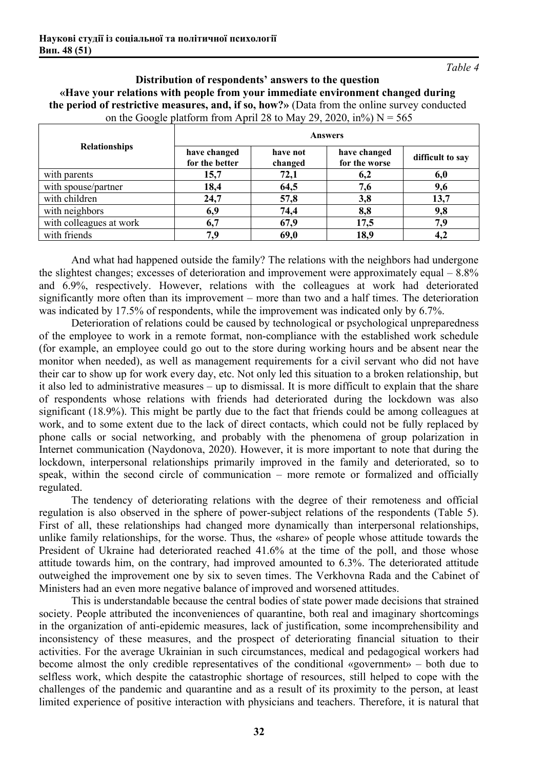*Table 4*

**Distribution of respondents' answers to the question «Have your relations with people from your immediate environment changed during the period of restrictive measures, and, if so, how?»** (Data from the online survey conducted on the Google platform from April 28 to May 29, 2020, in%)  $N = 565$ 

|                         | Answers                        |                     |                               |                  |  |
|-------------------------|--------------------------------|---------------------|-------------------------------|------------------|--|
| <b>Relationships</b>    | have changed<br>for the better | have not<br>changed | have changed<br>for the worse | difficult to say |  |
| with parents            | 15,7                           | 72,1                | 6,2                           | 6,0              |  |
| with spouse/partner     | 18,4                           | 64,5                | 7,6                           | 9,6              |  |
| with children           | 24,7                           | 57,8                | 3,8                           | 13,7             |  |
| with neighbors          | 6,9                            | 74,4                | 8,8                           | 9,8              |  |
| with colleagues at work | 6,7                            | 67,9                | 17,5                          | 7,9              |  |
| with friends            | 7.9                            | 69,0                | 18,9                          | 4,2              |  |

And what had happened outside the family? The relations with the neighbors had undergone the slightest changes; excesses of deterioration and improvement were approximately equal – 8.8% and 6.9%, respectively. However, relations with the colleagues at work had deteriorated significantly more often than its improvement – more than two and a half times. The deterioration was indicated by 17.5% of respondents, while the improvement was indicated only by 6.7%.

Deterioration of relations could be caused by technological or psychological unpreparedness of the employee to work in a remote format, non-compliance with the established work schedule (for example, an employee could go out to the store during working hours and be absent near the monitor when needed), as well as management requirements for a civil servant who did not have their car to show up for work every day, etc. Not only led this situation to a broken relationship, but it also led to administrative measures – up to dismissal. It is more difficult to explain that the share of respondents whose relations with friends had deteriorated during the lockdown was also significant (18.9%). This might be partly due to the fact that friends could be among colleagues at work, and to some extent due to the lack of direct contacts, which could not be fully replaced by phone calls or social networking, and probably with the phenomena of group polarization in Internet communication (Naydonova, 2020). However, it is more important to note that during the lockdown, interpersonal relationships primarily improved in the family and deteriorated, so to speak, within the second circle of communication – more remote or formalized and officially regulated.

The tendency of deteriorating relations with the degree of their remoteness and official regulation is also observed in the sphere of power-subject relations of the respondents (Table 5). First of all, these relationships had changed more dynamically than interpersonal relationships, unlike family relationships, for the worse. Thus, the «share» of people whose attitude towards the President of Ukraine had deteriorated reached 41.6% at the time of the poll, and those whose attitude towards him, on the contrary, had improved amounted to 6.3%. The deteriorated attitude outweighed the improvement one by six to seven times. The Verkhovna Rada and the Cabinet of Ministers had an even more negative balance of improved and worsened attitudes.

This is understandable because the central bodies of state power made decisions that strained society. People attributed the inconveniences of quarantine, both real and imaginary shortcomings in the organization of anti-epidemic measures, lack of justification, some incomprehensibility and inconsistency of these measures, and the prospect of deteriorating financial situation to their activities. For the average Ukrainian in such circumstances, medical and pedagogical workers had become almost the only credible representatives of the conditional «government» – both due to selfless work, which despite the catastrophic shortage of resources, still helped to cope with the challenges of the pandemic and quarantine and as a result of its proximity to the person, at least limited experience of positive interaction with physicians and teachers. Therefore, it is natural that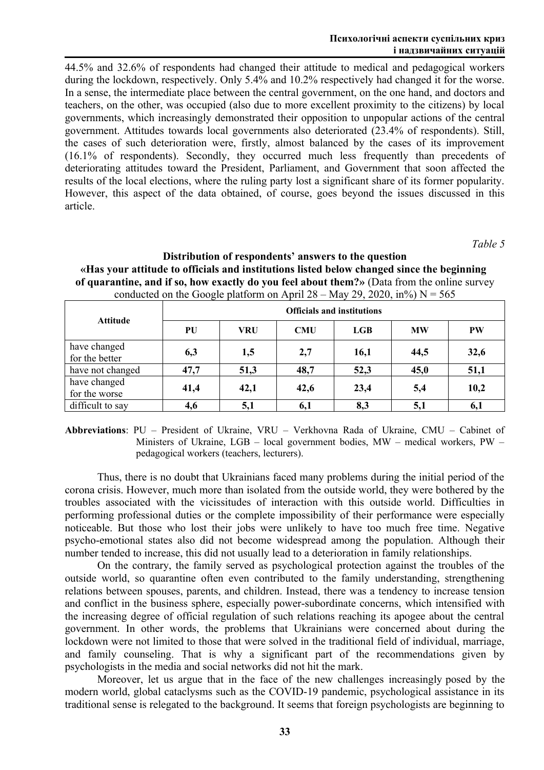44.5% and 32.6% of respondents had changed their attitude to medical and pedagogical workers during the lockdown, respectively. Only 5.4% and 10.2% respectively had changed it for the worse. In a sense, the intermediate place between the central government, on the one hand, and doctors and teachers, on the other, was occupied (also due to more excellent proximity to the citizens) by local governments, which increasingly demonstrated their opposition to unpopular actions of the central government. Attitudes towards local governments also deteriorated (23.4% of respondents). Still, the cases of such deterioration were, firstly, almost balanced by the cases of its improvement (16.1% of respondents). Secondly, they occurred much less frequently than precedents of deteriorating attitudes toward the President, Parliament, and Government that soon affected the results of the local elections, where the ruling party lost a significant share of its former popularity. However, this aspect of the data obtained, of course, goes beyond the issues discussed in this article.

*Table 5*

## **Distribution of respondents' answers to the question «Has your attitude to officials and institutions listed below changed since the beginning of quarantine, and if so, how exactly do you feel about them?»** (Data from the online survey conducted on the Google platform on April  $28 -$ May 29, 2020, in%) N = 565

|                                | <b>Officials and institutions</b> |            |            |      |           |           |
|--------------------------------|-----------------------------------|------------|------------|------|-----------|-----------|
| <b>Attitude</b>                | PU                                | <b>VRU</b> | <b>CMU</b> | LGB  | <b>MW</b> | <b>PW</b> |
| have changed<br>for the better | 6,3                               | 1,5        | 2,7        | 16,1 | 44,5      | 32,6      |
| have not changed               | 47,7                              | 51,3       | 48,7       | 52,3 | 45,0      | 51,1      |
| have changed<br>for the worse  | 41,4                              | 42,1       | 42,6       | 23,4 | 5,4       | 10,2      |
| difficult to say               | 4,6                               | 5,1        | 6,1        | 8,3  | 5,1       | 6,1       |

**Abbreviations**: PU – President of Ukraine, VRU – Verkhovna Rada of Ukraine, CMU – Cabinet of Ministers of Ukraine, LGB – local government bodies, MW – medical workers, PW – pedagogical workers (teachers, lecturers).

Thus, there is no doubt that Ukrainians faced many problems during the initial period of the corona crisis. However, much more than isolated from the outside world, they were bothered by the troubles associated with the vicissitudes of interaction with this outside world. Difficulties in performing professional duties or the complete impossibility of their performance were especially noticeable. But those who lost their jobs were unlikely to have too much free time. Negative psycho-emotional states also did not become widespread among the population. Although their number tended to increase, this did not usually lead to a deterioration in family relationships.

On the contrary, the family served as psychological protection against the troubles of the outside world, so quarantine often even contributed to the family understanding, strengthening relations between spouses, parents, and children. Instead, there was a tendency to increase tension and conflict in the business sphere, especially power-subordinate concerns, which intensified with the increasing degree of official regulation of such relations reaching its apogee about the central government. In other words, the problems that Ukrainians were concerned about during the lockdown were not limited to those that were solved in the traditional field of individual, marriage, and family counseling. That is why a significant part of the recommendations given by psychologists in the media and social networks did not hit the mark.

Moreover, let us argue that in the face of the new challenges increasingly posed by the modern world, global cataclysms such as the COVID-19 pandemic, psychological assistance in its traditional sense is relegated to the background. It seems that foreign psychologists are beginning to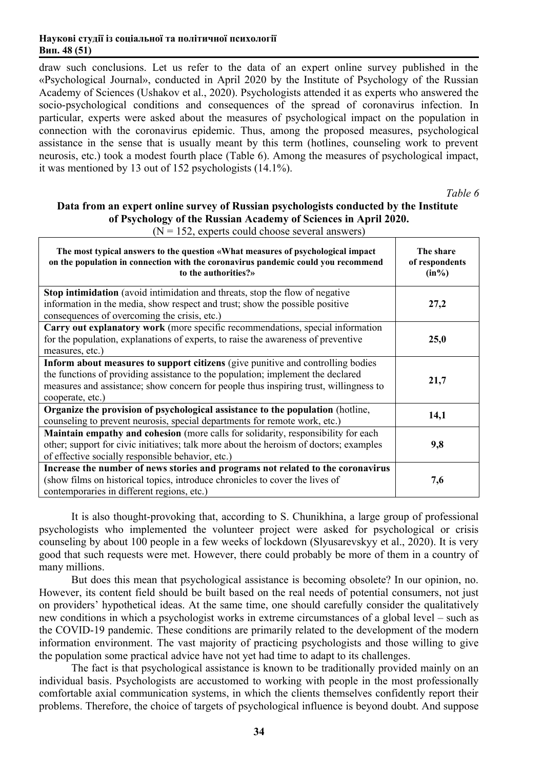draw such conclusions. Let us refer to the data of an expert online survey published in the «Psychological Journal», conducted in April 2020 by the Institute of Psychology of the Russian Academy of Sciences (Ushakov et al., 2020). Psychologists attended it as experts who answered the socio-psychological conditions and consequences of the spread of coronavirus infection. In particular, experts were asked about the measures of psychological impact on the population in connection with the coronavirus epidemic. Thus, among the proposed measures, psychological assistance in the sense that is usually meant by this term (hotlines, counseling work to prevent neurosis, etc.) took a modest fourth place (Table 6). Among the measures of psychological impact, it was mentioned by 13 out of 152 psychologists (14.1%).

*Table 6*

## **Data from an expert online survey of Russian psychologists conducted by the Institute of Psychology of the Russian Academy of Sciences in April 2020.**

| The most typical answers to the question «What measures of psychological impact<br>on the population in connection with the coronavirus pandemic could you recommend<br>to the authorities?»                                                                                    | The share<br>of respondents<br>$(in\%)$ |
|---------------------------------------------------------------------------------------------------------------------------------------------------------------------------------------------------------------------------------------------------------------------------------|-----------------------------------------|
| Stop intimidation (avoid intimidation and threats, stop the flow of negative<br>information in the media, show respect and trust; show the possible positive<br>consequences of overcoming the crisis, etc.)                                                                    | 27,2                                    |
| Carry out explanatory work (more specific recommendations, special information<br>for the population, explanations of experts, to raise the awareness of preventive<br>measures, etc.)                                                                                          | 25,0                                    |
| Inform about measures to support citizens (give punitive and controlling bodies<br>the functions of providing assistance to the population; implement the declared<br>measures and assistance; show concern for people thus inspiring trust, willingness to<br>cooperate, etc.) | 21,7                                    |
| Organize the provision of psychological assistance to the population (hotline,<br>counseling to prevent neurosis, special departments for remote work, etc.)                                                                                                                    | 14,1                                    |
| <b>Maintain empathy and cohesion</b> (more calls for solidarity, responsibility for each<br>other; support for civic initiatives; talk more about the heroism of doctors; examples<br>of effective socially responsible behavior, etc.)                                         | 9,8                                     |
| Increase the number of news stories and programs not related to the coronavirus<br>(show films on historical topics, introduce chronicles to cover the lives of<br>contemporaries in different regions, etc.)                                                                   | 7,6                                     |

 $(N = 152$ , experts could choose several answers)

It is also thought-provoking that, according to S. Chunikhina, a large group of professional psychologists who implemented the volunteer project were asked for psychological or crisis counseling by about 100 people in a few weeks of lockdown (Slyusarevskyy et al., 2020). It is very good that such requests were met. However, there could probably be more of them in a country of many millions.

But does this mean that psychological assistance is becoming obsolete? In our opinion, no. However, its content field should be built based on the real needs of potential consumers, not just on providers' hypothetical ideas. At the same time, one should carefully consider the qualitatively new conditions in which a psychologist works in extreme circumstances of a global level – such as the COVID-19 pandemic. These conditions are primarily related to the development of the modern information environment. The vast majority of practicing psychologists and those willing to give the population some practical advice have not yet had time to adapt to its challenges.

The fact is that psychological assistance is known to be traditionally provided mainly on an individual basis. Psychologists are accustomed to working with people in the most professionally comfortable axial communication systems, in which the clients themselves confidently report their problems. Therefore, the choice of targets of psychological influence is beyond doubt. And suppose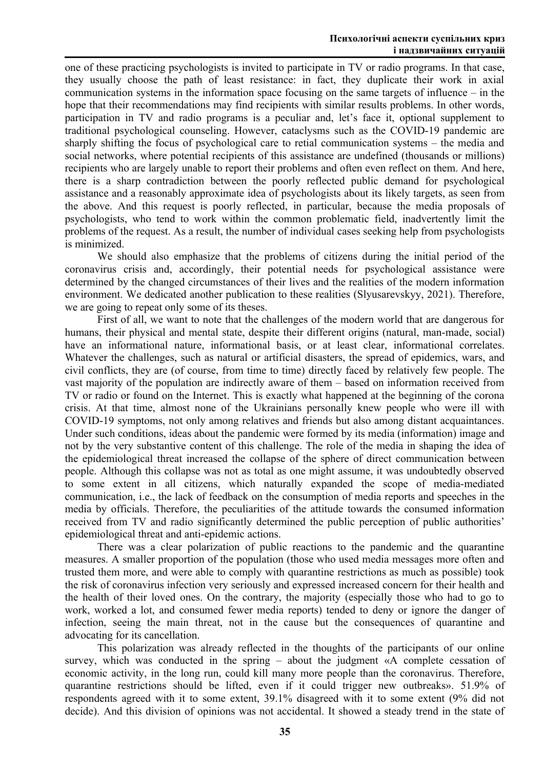one of these practicing psychologists is invited to participate in TV or radio programs. In that case, they usually choose the path of least resistance: in fact, they duplicate their work in axial communication systems in the information space focusing on the same targets of influence – in the hope that their recommendations may find recipients with similar results problems. In other words, participation in TV and radio programs is a peculiar and, let's face it, optional supplement to traditional psychological counseling. However, cataclysms such as the COVID-19 pandemic are sharply shifting the focus of psychological care to retial communication systems – the media and social networks, where potential recipients of this assistance are undefined (thousands or millions) recipients who are largely unable to report their problems and often even reflect on them. And here, there is a sharp contradiction between the poorly reflected public demand for psychological assistance and a reasonably approximate idea of psychologists about its likely targets, as seen from the above. And this request is poorly reflected, in particular, because the media proposals of psychologists, who tend to work within the common problematic field, inadvertently limit the problems of the request. As a result, the number of individual cases seeking help from psychologists is minimized.

We should also emphasize that the problems of citizens during the initial period of the coronavirus crisis and, accordingly, their potential needs for psychological assistance were determined by the changed circumstances of their lives and the realities of the modern information environment. We dedicated another publication to these realities (Slyusarevskyy, 2021). Therefore, we are going to repeat only some of its theses.

First of all, we want to note that the challenges of the modern world that are dangerous for humans, their physical and mental state, despite their different origins (natural, man-made, social) have an informational nature, informational basis, or at least clear, informational correlates. Whatever the challenges, such as natural or artificial disasters, the spread of epidemics, wars, and civil conflicts, they are (of course, from time to time) directly faced by relatively few people. The vast majority of the population are indirectly aware of them – based on information received from TV or radio or found on the Internet. This is exactly what happened at the beginning of the corona crisis. At that time, almost none of the Ukrainians personally knew people who were ill with COVID-19 symptoms, not only among relatives and friends but also among distant acquaintances. Under such conditions, ideas about the pandemic were formed by its media (information) image and not by the very substantive content of this challenge. The role of the media in shaping the idea of the epidemiological threat increased the collapse of the sphere of direct communication between people. Although this collapse was not as total as one might assume, it was undoubtedly observed to some extent in all citizens, which naturally expanded the scope of media-mediated communication, i.e., the lack of feedback on the consumption of media reports and speeches in the media by officials. Therefore, the peculiarities of the attitude towards the consumed information received from TV and radio significantly determined the public perception of public authorities' epidemiological threat and anti-epidemic actions.

There was a clear polarization of public reactions to the pandemic and the quarantine measures. A smaller proportion of the population (those who used media messages more often and trusted them more, and were able to comply with quarantine restrictions as much as possible) took the risk of coronavirus infection very seriously and expressed increased concern for their health and the health of their loved ones. On the contrary, the majority (especially those who had to go to work, worked a lot, and consumed fewer media reports) tended to deny or ignore the danger of infection, seeing the main threat, not in the cause but the consequences of quarantine and advocating for its cancellation.

This polarization was already reflected in the thoughts of the participants of our online survey, which was conducted in the spring – about the judgment «A complete cessation of economic activity, in the long run, could kill many more people than the coronavirus. Therefore, quarantine restrictions should be lifted, even if it could trigger new outbreaks». 51.9% of respondents agreed with it to some extent, 39.1% disagreed with it to some extent (9% did not decide). And this division of opinions was not accidental. It showed a steady trend in the state of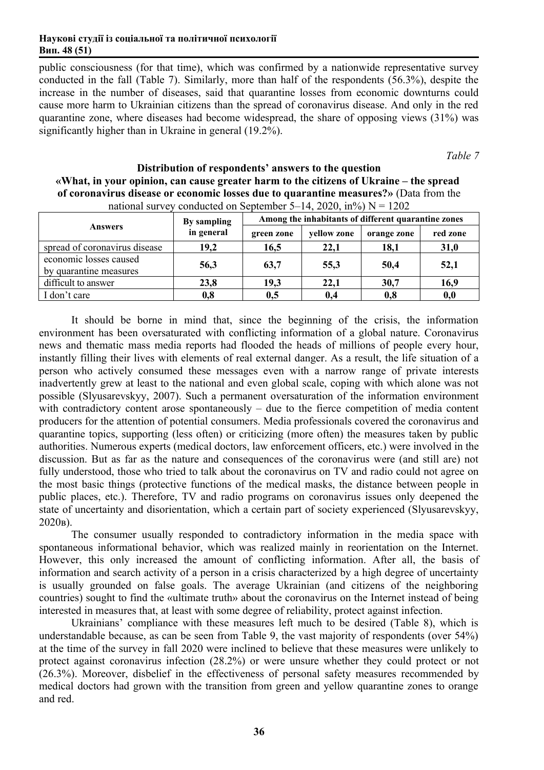public consciousness (for that time), which was confirmed by a nationwide representative survey conducted in the fall (Table 7). Similarly, more than half of the respondents (56.3%), despite the increase in the number of diseases, said that quarantine losses from economic downturns could cause more harm to Ukrainian citizens than the spread of coronavirus disease. And only in the red quarantine zone, where diseases had become widespread, the share of opposing views (31%) was significantly higher than in Ukraine in general (19.2%).

*Table 7*

| national survey conducted on September 5–14, 2020, $m\%$ ) $N = 1202$ |             |                                                     |             |             |          |  |
|-----------------------------------------------------------------------|-------------|-----------------------------------------------------|-------------|-------------|----------|--|
|                                                                       | By sampling | Among the inhabitants of different quarantine zones |             |             |          |  |
| <b>Answers</b>                                                        | in general  | green zone                                          | yellow zone | orange zone | red zone |  |
| spread of coronavirus disease                                         | 19,2        | 16,5                                                | 22,1        | 18,1        | 31,0     |  |
| economic losses caused                                                | 56,3        | 63,7                                                | 55,3        | 50,4        | 52,1     |  |
| by quarantine measures                                                |             |                                                     |             |             |          |  |
| difficult to answer                                                   | 23,8        | 19,3                                                | 22,1        | 30,7        | 16,9     |  |
| I don't care                                                          | 0,8         | 0,5                                                 | 0,4         | 0,8         | 0,0      |  |

**Distribution of respondents' answers to the question «What, in your opinion, can cause greater harm to the citizens of Ukraine – the spread of coronavirus disease or economic losses due to quarantine measures?»** (Data from the nducted on September 5–14, 2020, in $\theta$  N = 1202

It should be borne in mind that, since the beginning of the crisis, the information environment has been oversaturated with conflicting information of a global nature. Coronavirus news and thematic mass media reports had flooded the heads of millions of people every hour, instantly filling their lives with elements of real external danger. As a result, the life situation of a person who actively consumed these messages even with a narrow range of private interests inadvertently grew at least to the national and even global scale, coping with which alone was not possible (Slyusarevskyy, 2007). Such a permanent oversaturation of the information environment with contradictory content arose spontaneously – due to the fierce competition of media content producers for the attention of potential consumers. Media professionals covered the coronavirus and quarantine topics, supporting (less often) or criticizing (more often) the measures taken by public authorities. Numerous experts (medical doctors, law enforcement officers, etc.) were involved in the discussion. But as far as the nature and consequences of the coronavirus were (and still are) not fully understood, those who tried to talk about the coronavirus on TV and radio could not agree on the most basic things (protective functions of the medical masks, the distance between people in public places, etc.). Therefore, TV and radio programs on coronavirus issues only deepened the state of uncertainty and disorientation, which a certain part of society experienced (Slyusarevskyy, 2020в).

The consumer usually responded to contradictory information in the media space with spontaneous informational behavior, which was realized mainly in reorientation on the Internet. However, this only increased the amount of conflicting information. After all, the basis of information and search activity of a person in a crisis characterized by a high degree of uncertainty is usually grounded on false goals. The average Ukrainian (and citizens of the neighboring countries) sought to find the «ultimate truth» about the coronavirus on the Internet instead of being interested in measures that, at least with some degree of reliability, protect against infection.

Ukrainians' compliance with these measures left much to be desired (Table 8), which is understandable because, as can be seen from Table 9, the vast majority of respondents (over 54%) at the time of the survey in fall 2020 were inclined to believe that these measures were unlikely to protect against coronavirus infection (28.2%) or were unsure whether they could protect or not (26.3%). Moreover, disbelief in the effectiveness of personal safety measures recommended by medical doctors had grown with the transition from green and yellow quarantine zones to orange and red.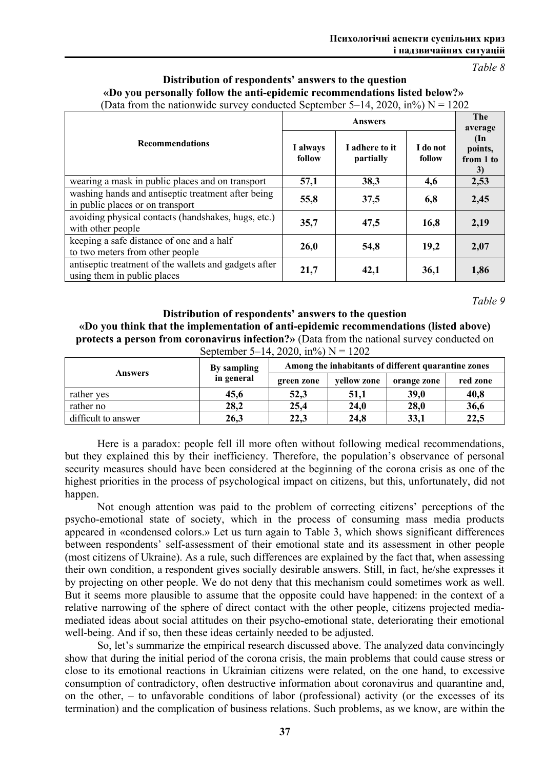*Table 8*

## **Distribution of respondents' answers to the question «Do you personally follow the anti-epidemic recommendations listed below?»**  (Data from the nationwide survey conducted September 5–14, 2020, in%)  $N = 1202$

|                                                                                        |                    | <b>The</b><br>average       |                    |                                      |
|----------------------------------------------------------------------------------------|--------------------|-----------------------------|--------------------|--------------------------------------|
| <b>Recommendations</b>                                                                 | I always<br>follow | I adhere to it<br>partially | I do not<br>follow | $(\ln$<br>points,<br>from 1 to<br>3) |
| wearing a mask in public places and on transport                                       | 57,1               | 38,3                        | 4,6                | 2,53                                 |
| washing hands and antiseptic treatment after being<br>in public places or on transport | 55,8               | 37,5                        | 6,8                | 2,45                                 |
| avoiding physical contacts (handshakes, hugs, etc.)<br>with other people               | 35,7               | 47,5                        | 16,8               | 2,19                                 |
| keeping a safe distance of one and a half<br>to two meters from other people           | 26,0               | 54,8                        | 19,2               | 2,07                                 |
| antiseptic treatment of the wallets and gadgets after<br>using them in public places   | 21,7               | 42,1                        | 36,1               | 1,86                                 |

*Table 9*

**Distribution of respondents' answers to the question «Do you think that the implementation of anti-epidemic recommendations (listed above) protects a person from coronavirus infection?»** (Data from the national survey conducted on September 5–14, 2020, in%)  $N = 1202$ 

|                     | By sampling | Among the inhabitants of different quarantine zones |             |             |          |  |
|---------------------|-------------|-----------------------------------------------------|-------------|-------------|----------|--|
| <b>Answers</b>      | in general  | green zone                                          | vellow zone | orange zone | red zone |  |
| rather yes          | 45,6        | 52,3                                                | 51,1        | 39,0        | 40,8     |  |
| rather no           | 28,2        | 25,4                                                | 24,0        | 28,0        | 36,6     |  |
| difficult to answer | 26,3        | 22,3                                                | 24,8        | 33,1        | 22,5     |  |

Here is a paradox: people fell ill more often without following medical recommendations, but they explained this by their inefficiency. Therefore, the population's observance of personal security measures should have been considered at the beginning of the corona crisis as one of the highest priorities in the process of psychological impact on citizens, but this, unfortunately, did not happen.

Not enough attention was paid to the problem of correcting citizens' perceptions of the psycho-emotional state of society, which in the process of consuming mass media products appeared in «condensed colors.» Let us turn again to Table 3, which shows significant differences between respondents' self-assessment of their emotional state and its assessment in other people (most citizens of Ukraine). As a rule, such differences are explained by the fact that, when assessing their own condition, a respondent gives socially desirable answers. Still, in fact, he/she expresses it by projecting on other people. We do not deny that this mechanism could sometimes work as well. But it seems more plausible to assume that the opposite could have happened: in the context of a relative narrowing of the sphere of direct contact with the other people, citizens projected mediamediated ideas about social attitudes on their psycho-emotional state, deteriorating their emotional well-being. And if so, then these ideas certainly needed to be adjusted.

So, let's summarize the empirical research discussed above. The analyzed data convincingly show that during the initial period of the corona crisis, the main problems that could cause stress or close to its emotional reactions in Ukrainian citizens were related, on the one hand, to excessive consumption of contradictory, often destructive information about coronavirus and quarantine and, on the other, – to unfavorable conditions of labor (professional) activity (or the excesses of its termination) and the complication of business relations. Such problems, as we know, are within the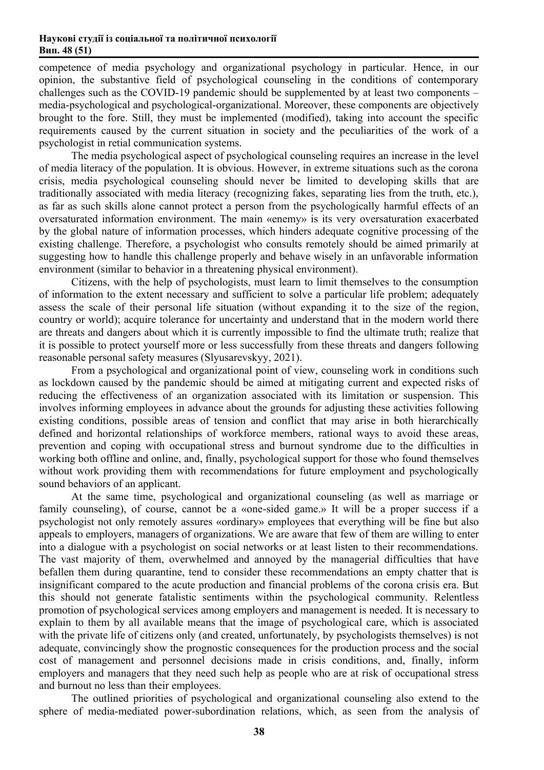competence of media psychology and organizational psychology in particular. Hence, in our opinion, the substantive field of psychological counseling in the conditions of contemporary challenges such as the COVID-19 pandemic should be supplemented by at least two components – media-psychological and psychological-organizational. Moreover, these components are objectively brought to the fore. Still, they must be implemented (modified), taking into account the specific requirements caused by the current situation in society and the peculiarities of the work of a psychologist in retial communication systems.

The media psychological aspect of psychological counseling requires an increase in the level of media literacy of the population. It is obvious. However, in extreme situations such as the corona crisis, media psychological counseling should never be limited to developing skills that are traditionally associated with media literacy (recognizing fakes, separating lies from the truth, etc.), as far as such skills alone cannot protect a person from the psychologically harmful effects of an oversaturated information environment. The main «enemy» is its very oversaturation exacerbated by the global nature of information processes, which hinders adequate cognitive processing of the existing challenge. Therefore, a psychologist who consults remotely should be aimed primarily at suggesting how to handle this challenge properly and behave wisely in an unfavorable information environment (similar to behavior in a threatening physical environment).

Citizens, with the help of psychologists, must learn to limit themselves to the consumption of information to the extent necessary and sufficient to solve a particular life problem; adequately assess the scale of their personal life situation (without expanding it to the size of the region, country or world); acquire tolerance for uncertainty and understand that in the modern world there are threats and dangers about which it is currently impossible to find the ultimate truth; realize that it is possible to protect yourself more or less successfully from these threats and dangers following reasonable personal safety measures (Slyusarevskyy, 2021).

From a psychological and organizational point of view, counseling work in conditions such as lockdown caused by the pandemic should be aimed at mitigating current and expected risks of reducing the effectiveness of an organization associated with its limitation or suspension. This involves informing employees in advance about the grounds for adjusting these activities following existing conditions, possible areas of tension and conflict that may arise in both hierarchically defined and horizontal relationships of workforce members, rational ways to avoid these areas, prevention and coping with occupational stress and burnout syndrome due to the difficulties in working both offline and online, and, finally, psychological support for those who found themselves without work providing them with recommendations for future employment and psychologically sound behaviors of an applicant.

At the same time, psychological and organizational counseling (as well as marriage or family counseling), of course, cannot be a «one-sided game.» It will be a proper success if a psychologist not only remotely assures «ordinary» employees that everything will be fine but also appeals to employers, managers of organizations. We are aware that few of them are willing to enter into a dialogue with a psychologist on social networks or at least listen to their recommendations. The vast majority of them, overwhelmed and annoyed by the managerial difficulties that have befallen them during quarantine, tend to consider these recommendations an empty chatter that is insignificant compared to the acute production and financial problems of the corona crisis era. But this should not generate fatalistic sentiments within the psychological community. Relentless promotion of psychological services among employers and management is needed. It is necessary to explain to them by all available means that the image of psychological care, which is associated with the private life of citizens only (and created, unfortunately, by psychologists themselves) is not adequate, convincingly show the prognostic consequences for the production process and the social cost of management and personnel decisions made in crisis conditions, and, finally, inform employers and managers that they need such help as people who are at risk of occupational stress and burnout no less than their employees.

The outlined priorities of psychological and organizational counseling also extend to the sphere of media-mediated power-subordination relations, which, as seen from the analysis of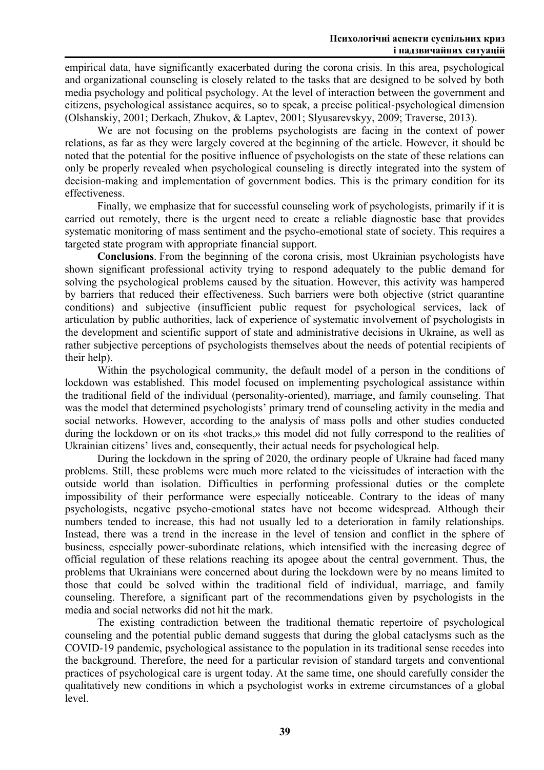empirical data, have significantly exacerbated during the corona crisis. In this area, psychological and organizational counseling is closely related to the tasks that are designed to be solved by both media psychology and political psychology. At the level of interaction between the government and citizens, psychological assistance acquires, so to speak, a precise political-psychological dimension (Olshanskiy, 2001; Derkach, Zhukov, & Laptev, 2001; Slyusarevskyy, 2009; Traverse, 2013).

We are not focusing on the problems psychologists are facing in the context of power relations, as far as they were largely covered at the beginning of the article. However, it should be noted that the potential for the positive influence of psychologists on the state of these relations can only be properly revealed when psychological counseling is directly integrated into the system of decision-making and implementation of government bodies. This is the primary condition for its effectiveness.

Finally, we emphasize that for successful counseling work of psychologists, primarily if it is carried out remotely, there is the urgent need to create a reliable diagnostic base that provides systematic monitoring of mass sentiment and the psycho-emotional state of society. This requires a targeted state program with appropriate financial support.

**Conclusions**. From the beginning of the corona crisis, most Ukrainian psychologists have shown significant professional activity trying to respond adequately to the public demand for solving the psychological problems caused by the situation. However, this activity was hampered by barriers that reduced their effectiveness. Such barriers were both objective (strict quarantine conditions) and subjective (insufficient public request for psychological services, lack of articulation by public authorities, lack of experience of systematic involvement of psychologists in the development and scientific support of state and administrative decisions in Ukraine, as well as rather subjective perceptions of psychologists themselves about the needs of potential recipients of their help).

Within the psychological community, the default model of a person in the conditions of lockdown was established. This model focused on implementing psychological assistance within the traditional field of the individual (personality-oriented), marriage, and family counseling. That was the model that determined psychologists' primary trend of counseling activity in the media and social networks. However, according to the analysis of mass polls and other studies conducted during the lockdown or on its «hot tracks,» this model did not fully correspond to the realities of Ukrainian citizens' lives and, consequently, their actual needs for psychological help.

During the lockdown in the spring of 2020, the ordinary people of Ukraine had faced many problems. Still, these problems were much more related to the vicissitudes of interaction with the outside world than isolation. Difficulties in performing professional duties or the complete impossibility of their performance were especially noticeable. Contrary to the ideas of many psychologists, negative psycho-emotional states have not become widespread. Although their numbers tended to increase, this had not usually led to a deterioration in family relationships. Instead, there was a trend in the increase in the level of tension and conflict in the sphere of business, especially power-subordinate relations, which intensified with the increasing degree of official regulation of these relations reaching its apogee about the central government. Thus, the problems that Ukrainians were concerned about during the lockdown were by no means limited to those that could be solved within the traditional field of individual, marriage, and family counseling. Therefore, a significant part of the recommendations given by psychologists in the media and social networks did not hit the mark.

The existing contradiction between the traditional thematic repertoire of psychological counseling and the potential public demand suggests that during the global cataclysms such as the COVID-19 pandemic, psychological assistance to the population in its traditional sense recedes into the background. Therefore, the need for a particular revision of standard targets and conventional practices of psychological care is urgent today. At the same time, one should carefully consider the qualitatively new conditions in which a psychologist works in extreme circumstances of a global level.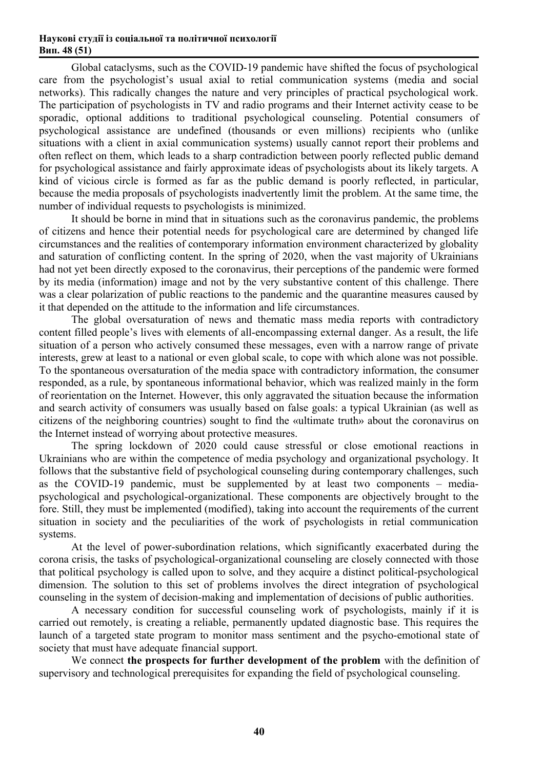Global cataclysms, such as the COVID-19 pandemic have shifted the focus of psychological care from the psychologist's usual axial to retial communication systems (media and social networks). This radically changes the nature and very principles of practical psychological work. The participation of psychologists in TV and radio programs and their Internet activity cease to be sporadic, optional additions to traditional psychological counseling. Potential consumers of psychological assistance are undefined (thousands or even millions) recipients who (unlike situations with a client in axial communication systems) usually cannot report their problems and often reflect on them, which leads to a sharp contradiction between poorly reflected public demand for psychological assistance and fairly approximate ideas of psychologists about its likely targets. A kind of vicious circle is formed as far as the public demand is poorly reflected, in particular, because the media proposals of psychologists inadvertently limit the problem. At the same time, the number of individual requests to psychologists is minimized.

It should be borne in mind that in situations such as the coronavirus pandemic, the problems of citizens and hence their potential needs for psychological care are determined by changed life circumstances and the realities of contemporary information environment characterized by globality and saturation of conflicting content. In the spring of 2020, when the vast majority of Ukrainians had not yet been directly exposed to the coronavirus, their perceptions of the pandemic were formed by its media (information) image and not by the very substantive content of this challenge. There was a clear polarization of public reactions to the pandemic and the quarantine measures caused by it that depended on the attitude to the information and life circumstances.

The global oversaturation of news and thematic mass media reports with contradictory content filled people's lives with elements of all-encompassing external danger. As a result, the life situation of a person who actively consumed these messages, even with a narrow range of private interests, grew at least to a national or even global scale, to cope with which alone was not possible. To the spontaneous oversaturation of the media space with contradictory information, the consumer responded, as a rule, by spontaneous informational behavior, which was realized mainly in the form of reorientation on the Internet. However, this only aggravated the situation because the information and search activity of consumers was usually based on false goals: a typical Ukrainian (as well as citizens of the neighboring countries) sought to find the «ultimate truth» about the coronavirus on the Internet instead of worrying about protective measures.

The spring lockdown of 2020 could cause stressful or close emotional reactions in Ukrainians who are within the competence of media psychology and organizational psychology. It follows that the substantive field of psychological counseling during contemporary challenges, such as the COVID-19 pandemic, must be supplemented by at least two components – mediapsychological and psychological-organizational. These components are objectively brought to the fore. Still, they must be implemented (modified), taking into account the requirements of the current situation in society and the peculiarities of the work of psychologists in retial communication systems.

At the level of power-subordination relations, which significantly exacerbated during the corona crisis, the tasks of psychological-organizational counseling are closely connected with those that political psychology is called upon to solve, and they acquire a distinct political-psychological dimension. The solution to this set of problems involves the direct integration of psychological counseling in the system of decision-making and implementation of decisions of public authorities.

A necessary condition for successful counseling work of psychologists, mainly if it is carried out remotely, is creating a reliable, permanently updated diagnostic base. This requires the launch of a targeted state program to monitor mass sentiment and the psycho-emotional state of society that must have adequate financial support.

We connect **the prospects for further development of the problem** with the definition of supervisory and technological prerequisites for expanding the field of psychological counseling.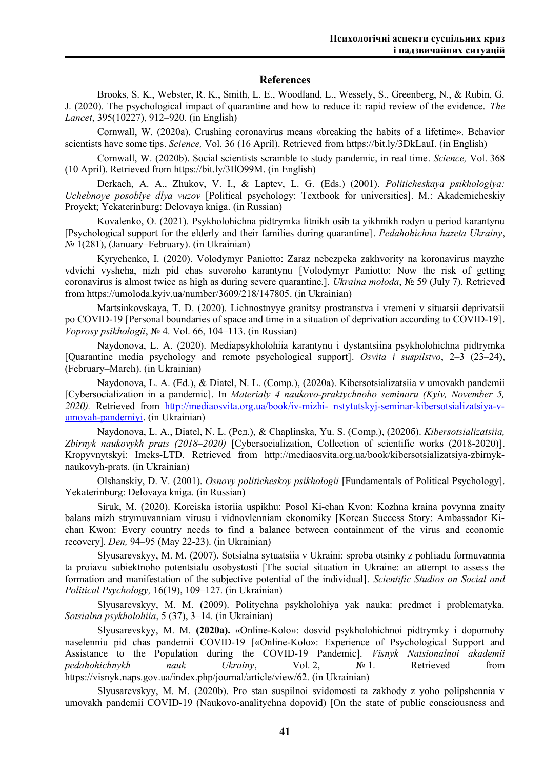## **References**

Brooks, S. K., Webster, R. K., Smith, L. E., Woodland, L., Wessely, S., Greenberg, N., & Rubin, G. J. (2020). The psychological impact of quarantine and how to reduce it: rapid review of the evidence. *The Lancet*, 395(10227), 912–920. (in English)

Cornwall, W. (2020а). Crushing coronavirus means «breaking the habits of a lifetime». Behavior scientists have some tips. *Science,* Vol. 36 (16 April). Retrieved from https://bit.ly/3DkLauI. (in English)

Cornwall, W. (2020b). Social scientists scramble to study pandemic, in real time. *Science,* Vol. 368 (10 April). Retrieved from https://bit.ly/3IlO99M. (in English)

Derkach, A. A., Zhukov, V. I., & Laptev, L. G. (Eds.) (2001). *Politicheskaya psikhologiya: Uchebnoye posobiye dlya vuzov* [Political psychology: Textbook for universities]. M.: Akademicheskiy Proyekt; Yekaterinburg: Delovaya kniga. (in Russian)

Kovalenko, O. (2021). Psykholohichna pidtrymka litnikh osib ta yikhnikh rodyn u period karantynu [Psychological support for the elderly and their families during quarantine]. *Pedahohichna hazeta Ukrainy*, № 1(281), (January–February). (in Ukrainian)

Kyrychenko, I. (2020). Volodymyr Paniotto: Zaraz nebezpeka zakhvority na koronavirus mayzhe vdvichi vyshcha, nizh pid chas suvoroho karantynu [Volodymyr Paniotto: Now the risk of getting coronavirus is almost twice as high as during severe quarantine.]. *Ukraina moloda*, № 59 (July 7). Retrieved from<https://umoloda.kyiv.ua/number/3609/218/147805>. (in Ukrainian)

Martsinkovskaya, T. D. (2020). Lichnostnyye granitsy prostranstva i vremeni v situatsii deprivatsii po COVID-19 [Personal boundaries of space and time in a situation of deprivation according to COVID-19]. *Voprosy psikhologii*, № 4. Vol. 66, 104–113. (in Russian)

Naydonova, L. A. (2020). Mediapsykholohiia karantynu i dystantsiina psykholohichna pidtrymka [Quarantine media psychology and remote psychological support]. *Osvita i suspilstvo*, 2–3 (23–24), (February–March). (in Ukrainian)

Naydonova, L. A. (Ed.), & Diatel, N. L. (Сomp.), (2020а). Kibersotsializatsiia v umovakh pandemii [Cybersocialization in a pandemic]. In *Materialy 4 naukovo-praktychnoho seminaru (Kyiv, November 5, 2020).* Retrieved from [http://mediaosvita.org.ua/book/iv-mizhi- nstytutskyj-seminar-kibersotsializatsiya-v](http://mediaosvita.org.ua/book/iv-mizhinstytutskyj-seminar-kibersotsializatsiya-v-umovah-pandemiyi/)[umovah-pandemiyi.](http://mediaosvita.org.ua/book/iv-mizhinstytutskyj-seminar-kibersotsializatsiya-v-umovah-pandemiyi/) (in Ukrainian)

Naydonova, L. A., Diatel, N. L. (Ред.), & Chaplinska, Yu. S. (Сomp.), (2020б). *Kibersotsializatsiia, Zbirnyk naukovykh prats (2018–2020)* [Cybersocialization, Collection of scientific works (2018-2020)]. Kropyvnytskyi: Imeks-LTD. Retrieved from http://mediaosvita.org.ua/book/kibersotsializatsiya-zbirnyknaukovyh-prats. (in Ukrainian)

Olshanskiy, D. V. (2001). *Osnovy politicheskoy psikhologii* [Fundamentals of Political Psychology]. Yekaterinburg: Delovaya kniga. (in Russian)

Siruk, M. (2020). Koreiska istoriia uspikhu: Posol Ki-chan Kvon: Kozhna kraina povynna znaity balans mizh strymuvanniam virusu i vidnovlenniam ekonomiky [Korean Success Story: Ambassador Kichan Kwon: Every country needs to find a balance between containment of the virus and economic recovery]. *Den,* 94–95 (May 22-23). (in Ukrainian)

Slyusarevskyy, M. M. (2007). Sotsialna sytuatsiia v Ukraini: sproba otsinky z pohliadu formuvannia ta proiavu subiektnoho potentsialu osobystosti [The social situation in Ukraine: an attempt to assess the formation and manifestation of the subjective potential of the individual]. *Scientific Studios on Social and Political Psychology,* 16(19), 109–127. (in Ukrainian)

Slyusarevskyy, M. M. (2009). Politychna psykholohiya yak nauka: predmet i problematyka. *Sotsialna psykholohiia*, 5 (37), 3–14. (in Ukrainian)

Slyusarevskyy, M. M. **(2020а).** «Online-Kolo»: dosvid psykholohichnoi pidtrymky i dopomohy naselennіu pid chas pandemii COVID-19 [«Online-Kolo»: Experience of Psychological Support and Assistance to the Population during the COVID-19 Pandemic]. *Visnyk Natsionalnoi akademii pedahohichnykh nauk Ukrainy*, Vol. 2, № 1. Retrieved from https://visnyk.naps.gov.ua/index.php/journal/article/view/62. (in Ukrainian)

Slyusarevskyy, M. M. (2020b). Pro stan suspilnoi svidomosti ta zakhody z yoho polipshennia v umovakh pandemii COVID-19 (Naukovo-analitychna dopovid) [On the state of public consciousness and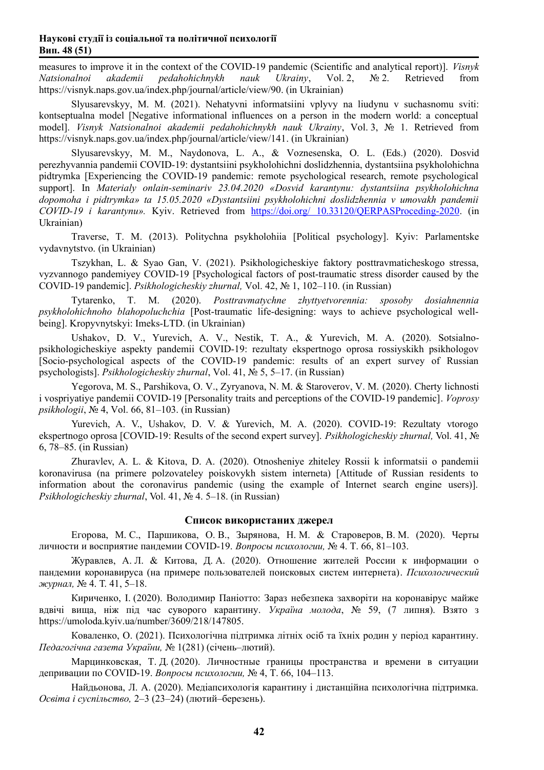measures to improve it in the context of the COVID-19 pandemic (Scientific and analytical report)]. *Visnyk Natsionalnoi akademii pedahohichnykh nauk Ukrainy*, Vol. 2, № 2. Retrieved from https://visnyk.naps.gov.ua/index.php/journal/article/view/90. (in Ukrainian)

Slyusarevskyy, M. M. (2021). Nehatyvni informatsiini vplyvy na liudynu v suchasnomu sviti: kontseptualna model [Negative informational influences on a person in the modern world: a conceptual model]. *Visnyk Natsionalnoi akademii pedahohichnykh nauk Ukrainy*, Vol. 3, № 1. Retrieved from https://visnyk.naps.gov.ua/index.php/journal/article/view/141. (in Ukrainian)

Slyusarevskyy, M. M., Naydonova, L. A., & Voznesenska, O. L. (Eds.) (2020). Dosvid perezhyvannia pandemii COVID-19: dystantsiini psykholohichni doslidzhennia, dystantsiina psykholohichna pidtrymka [Experiencing the COVID-19 pandemic: remote psychological research, remote psychological support]. In *Materialy onlain-seminariv 23.04.2020 «Dosvid karantynu: dystantsiіna psykholohichna dopomoha i pidtrymka» ta 15.05.2020 «Dystantsiіni psykholohichni doslidzhennіa v umovakh pandemii COVID-19 i karantynu».* Kyiv. Retrieved from [https://doi.org/ 10.33120/QERPASProceding-2020](https://doi.org/10.33120/QERPASProceding-2020). (in Ukrainian)

Traverse, T. M. (2013). Politychna psykholohiіa [Political psychology]. Kyiv: Parlamentske vydavnytstvo. (in Ukrainian)

Tszykhan, L. & Syao Gan, V. (2021). Psikhologicheskiye faktory posttravmaticheskogo stressa, vyzvannogo pandemiyey COVID-19 [Psychological factors of post-traumatic stress disorder caused by the COVID-19 pandemic]. *Psikhologicheskiy zhurnal,* Vol. 42, № 1, 102–110. (in Russian)

Tytarenko, T. M. (2020). *Posttravmatychne zhyttyetvorennіa: sposoby dosіahnennіa psykholohichnoho blahopoluchchіa* [Post-traumatic life-designing: ways to achieve psychological wellbeing]. Kropyvnytskyi: Imeks-LTD. (in Ukrainian)

Ushakov, D. V., Yurevich, A. V., Nestik, T. A., & Yurevich, M. A. (2020). Sotsialnopsikhologicheskiye aspekty pandemii COVID-19: rezultaty ekspertnogo oprosa rossiyskikh psikhologov [Socio-psychological aspects of the COVID-19 pandemic: results of an expert survey of Russian psychologists]. *Psikhologicheskiy zhurnal*, Vol. 41, № 5, 5–17. (in Russian)

Yegorova, M. S., Parshikova, O. V., Zyryanova, N. M. & Staroverov, V. M. (2020). Cherty lichnosti i vospriyatiye pandemii COVID-19 [Personality traits and perceptions of the COVID-19 pandemic]. *Voprosy psikhologii*, № 4, Vol. 66, 81–103. (in Russian)

Yurevich, A. V., Ushakov, D. V. & Yurevich, M. A. (2020). COVID-19: Rezultaty vtorogo ekspertnogo oprosa [COVID-19: Results of the second expert survey]. *Psikhologicheskiy zhurnal,* Vol. 41, № 6, 78–85. (in Russian)

Zhuravlev, A. L. & Kitova, D. A. (2020). Otnosheniye zhiteley Rossii k informatsii o pandemii koronavirusa (na primere polzovateley poiskovykh sistem interneta) [Attitude of Russian residents to information about the coronavirus pandemic (using the example of Internet search engine users)]. *Psikhologicheskiy zhurnal*, Vol. 41, № 4. 5–18. (in Russian)

#### **Список використаних джерел**

Егорова, М. С., Паршикова, О. В., Зырянова, Н. М. & Староверов, В. М. (2020). Черты личности и восприятие пандемии COVID-19. *Вопросы психологии,* № 4. Т. 66, 81–103.

Журавлев, А. Л. & Китова, Д. А. (2020). Отношение жителей России к информации о пандемии коронавируса (на примере пользователей поисковых систем интернета). *Психологический журнал,* № 4. Т. 41, 5–18.

Кириченко, І. (2020). Володимир Паніотто: Зараз небезпека захворіти на коронавірус майже вдвічі вища, ніж під час суворого карантину. *Україна молода*, № 59, (7 липня). Взято з https://umoloda.kyiv.ua/number/3609/218/147805.

Коваленко, О. (2021). Психологічна підтримка літніх осіб та їхніх родин у період карантину. *Педагогічна газета України,* № 1(281) (січень–лютий).

Марцинковская, Т. Д. (2020). Личностные границы пространства и времени в ситуации депривации по COVID-19. *Вопросы психологии,* № 4, Т. 66, 104–113.

Найдьонова, Л. А. (2020). Медіапсихологія карантину і дистанційна психологічна підтримка. *Освіта і суспільство,* 2–3 (23–24) (лютий–березень).